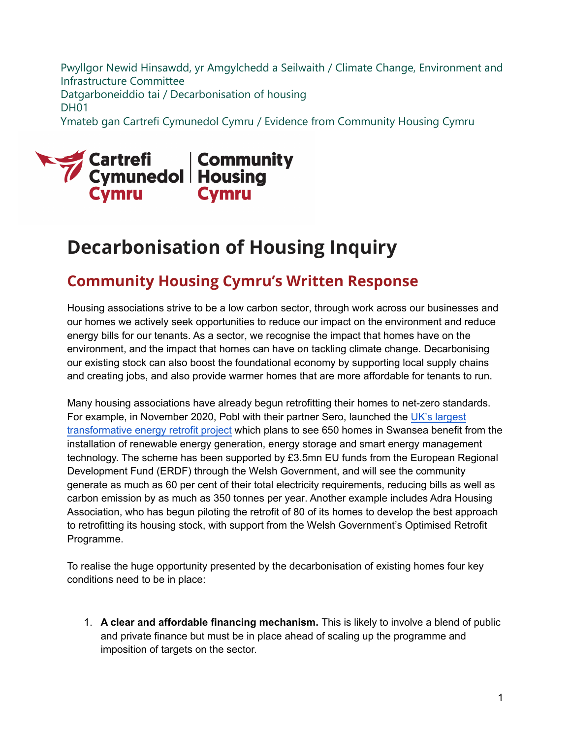Pwyllgor Newid Hinsawdd, yr Amgylchedd a Seilwaith / Climate Change, Environment and Infrastructure Committee Datgarboneiddio tai / Decarbonisation of housing DH01 Ymateb gan Cartrefi Cymunedol Cymru / Evidence from Community Housing Cymru



# **Decarbonisation of Housing Inquiry**

# **Community Housing Cymru's Written Response**

Housing associations strive to be a low carbon sector, through work across our businesses and our homes we actively seek opportunities to reduce our impact on the environment and reduce energy bills for our tenants. As a sector, we recognise the impact that homes have on the environment, and the impact that homes can have on tackling climate change. Decarbonising our existing stock can also boost the foundational economy by supporting local supply chains and creating jobs, and also provide warmer homes that are more affordable for tenants to run.

Many housing associations have already begun retrofitting their homes to net-zero standards. For example, in November 2020, Pobl with their partner Sero, launched the UK's largest [transformative energy retrofit project](https://www.poblgroup.co.uk/about-us/pobl-story/november-2020/transformative-swansea-energy-retrofit-scheme-kicks-off/) which plans to see 650 homes in Swa[nsea benefit fr](https://www.poblgroup.co.uk/about-us/pobl-story/november-2020/transformative-swansea-energy-retrofit-scheme-kicks-off/)om the installation of renewable energy generation, energy storage and smart energy management technology. The scheme has been supported by £3.5mn EU funds from the European Regional Development Fund (ERDF) through the Welsh Government, and will see the community generate as much as 60 per cent of their total electricity requirements, reducing bills as well as carbon emission by as much as 350 tonnes per year. Another example includes Adra Housing Association, who has begun piloting the retrofit of 80 of its homes to develop the best approach to retrofitting its housing stock, with support from the Welsh Government's Optimised Retrofit Programme.

To realise the huge opportunity presented by the decarbonisation of existing homes four key conditions need to be in place:

1. **A clear and affordable financing mechanism.** This is likely to involve a blend of public and private finance but must be in place ahead of scaling up the programme and imposition of targets on the sector.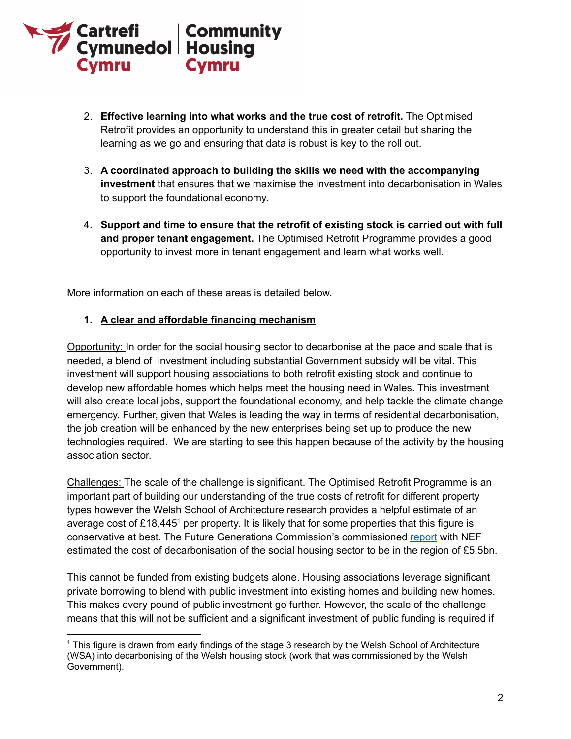

- 2. **Effective learning into what works and the true cost of retrofit.** The Optimised Retrofit provides an opportunity to understand this in greater detail but sharing the learning as we go and ensuring that data is robust is key to the roll out.
- 3. **A coordinated approach to building the skills we need with the accompanying investment** that ensures that we maximise the investment into decarbonisation in Wales to support the foundational economy.
- 4. **Support and time to ensure that the retrofit of existing stock is carried out with full and proper tenant engagement.** The Optimised Retrofit Programme provides a good opportunity to invest more in tenant engagement and learn what works well.

More information on each of these areas is detailed below.

#### **1. A clear and affordable financing mechanism**

Opportunity: In order for the social housing sector to decarbonise at the pace and scale that is needed, a blend of investment including substantial Government subsidy will be vital. This investment will support housing associations to both retrofit existing stock and continue to develop new affordable homes which helps meet the housing need in Wales. This investment will also create local jobs, support the foundational economy, and help tackle the climate change emergency. Further, given that Wales is leading the way in terms of residential decarbonisation, the job creation will be enhanced by the new enterprises being set up to produce the new technologies required. We are starting to see this happen because of the activity by the housing association sector.

Challenges: The scale of the challenge is significant. The Optimised Retrofit Programme is an important part of building our understanding of the true costs of retrofit for different property types however the Welsh School of Architecture research provides a helpful estimate of an average cost of  $£18,445<sup>1</sup>$  per property. It is likely that for some properties that this figure is conservative at best. The Future Generations Commission's commissioned [report](https://www.futuregenerations.wales/wp-content/uploads/2021/07/ENG-Exec-Summary-Financing-the-decarbonisation-of-housing-in-Wales.pdf) with NEF estimated the cost of decarbonisation of the social housing sector to be in the region of £5.5bn.

This cannot be funded from existing budgets alone. Housing associations leverage significant private borrowing to blend with public investment into existing homes and building new homes. This makes every pound of public investment go further. However, the scale of the challenge means that this will not be sufficient and a significant investment of public funding is required if

<sup>1</sup> This figure is drawn from early findings of the stage 3 research by the Welsh School of Architecture (WSA) into decarbonising of the Welsh housing stock (work that was commissioned by the Welsh Government).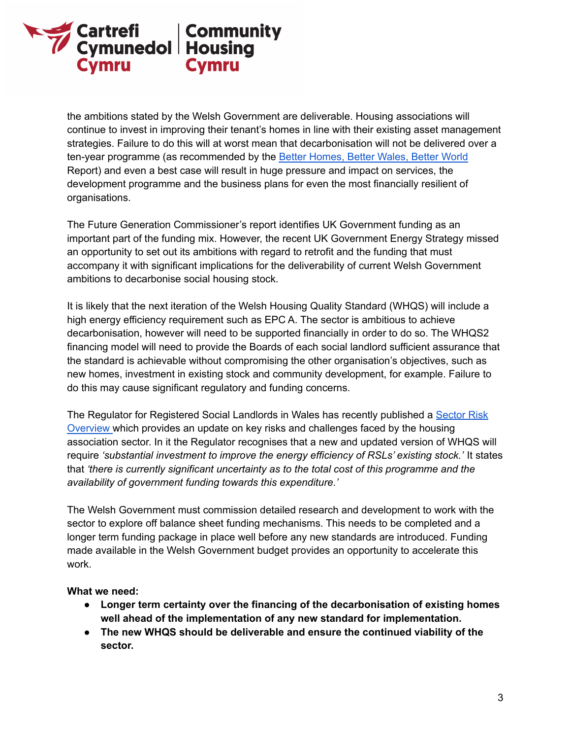

the ambitions stated by the Welsh Government are deliverable. Housing associations will continue to invest in improving their tenant's homes in line with their existing asset management strategies. Failure to do this will at worst mean that decarbonisation will not be delivered over a ten-year programme (as recommended by the Better [Homes,](https://gov.wales/independent-review-decarbonising-welsh-homes-report) Better Wales, Better World Report) and even a best case will result in huge pressure and impact on services, the development programme and the business plans for even the most financially resilient of organisations.

The Future Generation Commissioner's report identifies UK Government funding as an important part of the funding mix. However, the recent UK Government Energy Strategy missed an opportunity to set out its ambitions with regard to retrofit and the funding that must accompany it with significant implications for the deliverability of current Welsh Government ambitions to decarbonise social housing stock.

It is likely that the next iteration of the Welsh Housing Quality Standard (WHQS) will include a high energy efficiency requirement such as EPC A. The sector is ambitious to achieve decarbonisation, however will need to be supported financially in order to do so. The WHQS2 financing model will need to provide the Boards of each social landlord sufficient assurance that the standard is achievable without compromising the other organisation's objectives, such as new homes, investment in existing stock and community development, for example. Failure to do this may cause significant regulatory and funding concerns.

The Regulator for Registered Social Landlords in Wales has recently published a [Sector](https://gov.wales/registered-social-landlords-rsl-sector-risks-guidance) Risk [Overview](https://gov.wales/registered-social-landlords-rsl-sector-risks-guidance) which provides an update on key risks and challenges faced by the housing association sector. In it the Regulator recognises that a new and updated version of WHQS will require *'substantial investment to improve the energy efficiency of RSLs' existing stock.'* It states that *'there is currently significant uncertainty as to the total cost of this programme and the availability of government funding towards this expenditure.'*

The Welsh Government must commission detailed research and development to work with the sector to explore off balance sheet funding mechanisms. This needs to be completed and a longer term funding package in place well before any new standards are introduced. Funding made available in the Welsh Government budget provides an opportunity to accelerate this work.

#### **What we need:**

- **● Longer term certainty over the financing of the decarbonisation of existing homes well ahead of the implementation of any new standard for implementation.**
- **● The new WHQS should be deliverable and ensure the continued viability of the sector.**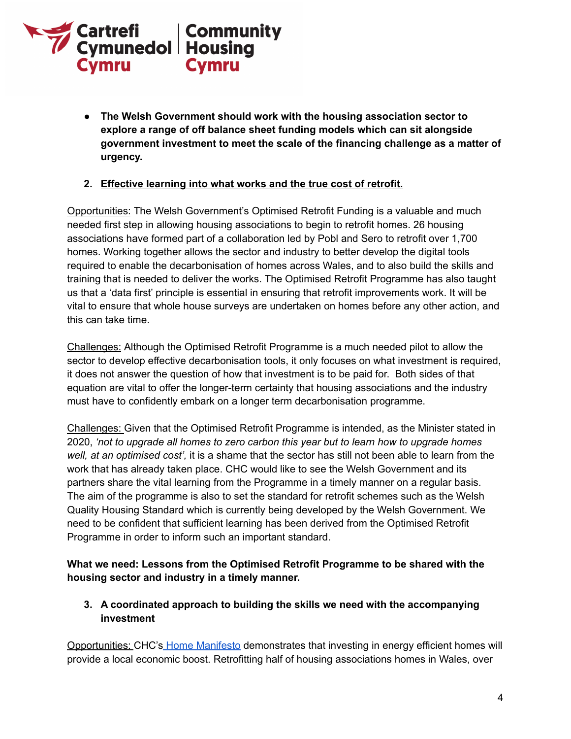

**● The Welsh Government should work with the housing association sector to explore a range of off balance sheet funding models which can sit alongside government investment to meet the scale of the financing challenge as a matter of urgency.**

## **2. Effective learning into what works and the true cost of retrofit.**

Opportunities: The Welsh Government's Optimised Retrofit Funding is a valuable and much needed first step in allowing housing associations to begin to retrofit homes. 26 housing associations have formed part of a collaboration led by Pobl and Sero to retrofit over 1,700 homes. Working together allows the sector and industry to better develop the digital tools required to enable the decarbonisation of homes across Wales, and to also build the skills and training that is needed to deliver the works. The Optimised Retrofit Programme has also taught us that a 'data first' principle is essential in ensuring that retrofit improvements work. It will be vital to ensure that whole house surveys are undertaken on homes before any other action, and this can take time.

Challenges: Although the Optimised Retrofit Programme is a much needed pilot to allow the sector to develop effective decarbonisation tools, it only focuses on what investment is required, it does not answer the question of how that investment is to be paid for. Both sides of that equation are vital to offer the longer-term certainty that housing associations and the industry must have to confidently embark on a longer term decarbonisation programme.

Challenges: Given that the Optimised Retrofit Programme is intended, as the Minister stated in 2020, *'not to upgrade all homes to zero carbon this year but to learn how to upgrade homes well, at an optimised cost',* it is a shame that the sector has still not been able to learn from the work that has already taken place. CHC would like to see the Welsh Government and its partners share the vital learning from the Programme in a timely manner on a regular basis. The aim of the programme is also to set the standard for retrofit schemes such as the Welsh Quality Housing Standard which is currently being developed by the Welsh Government. We need to be confident that sufficient learning has been derived from the Optimised Retrofit Programme in order to inform such an important standard.

**What we need: Lessons from the Optimised Retrofit Programme to be shared with the housing sector and industry in a timely manner.**

**3. A coordinated approach to building the skills we need with the accompanying investment**

Opportunities: CHC's Home [Manifesto](https://hereforhomes.org.uk/uploads/resources/Home-Manifesto-ENG.pdf) demonstrates that investing in energy efficient homes will provide a local economic boost. Retrofitting half of housing associations homes in Wales, over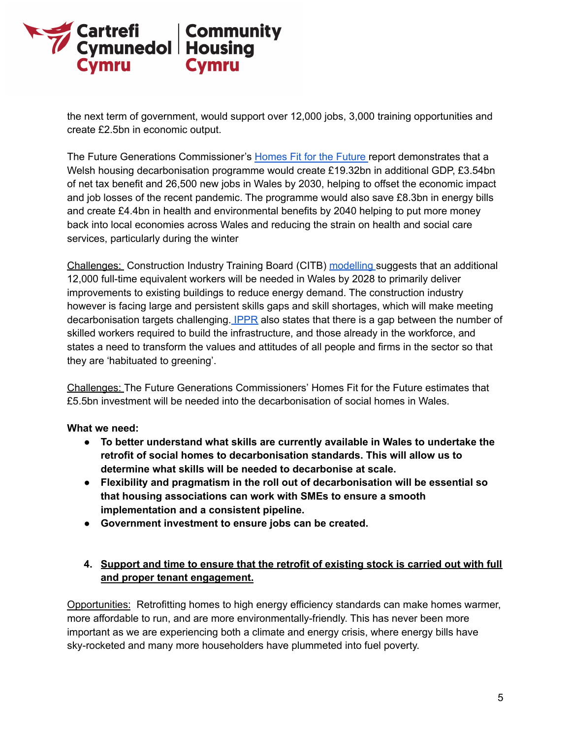

the next term of government, would support over 12,000 jobs, 3,000 training opportunities and create £2.5bn in economic output.

The Future Generations Commissioner's [Homes](https://www.futuregenerations.wales/wp-content/uploads/2021/07/ENG-Exec-Summary-Financing-the-decarbonisation-of-housing-in-Wales.pdf) Fit for the Future report demonstrates that a Welsh housing decarbonisation programme would create £19.32bn in additional GDP, £3.54bn of net tax benefit and 26,500 new jobs in Wales by 2030, helping to offset the economic impact and job losses of the recent pandemic. The programme would also save £8.3bn in energy bills and create £4.4bn in health and environmental benefits by 2040 helping to put more money back into local economies across Wales and reducing the strain on health and social care services, particularly during the winter

Challenges: Construction Industry Training Board (CITB) [modelling](https://www.citb.co.uk/about-citb/construction-industry-research-reports/search-our-construction-industry-research-reports/building-skills-for-net-zero/) suggests that an additional 12,000 full-time equivalent workers will be needed in Wales by 2028 to primarily deliver improvements to existing buildings to reduce energy demand. The construction industry however is facing large and persistent skills gaps and skill shortages, which will make meeting decarbonisation targets challenging. [IPPR](https://www.ippr.org/files/2021-02/skills-for-a-green-recovery-feb2021.pdf) also states that there is a gap between the number of skilled workers required to build the infrastructure, and those already in the workforce, and states a need to transform the values and attitudes of all people and firms in the sector so that they are 'habituated to greening'.

Challenges: The Future Generations Commissioners' Homes Fit for the Future estimates that £5.5bn investment will be needed into the decarbonisation of social homes in Wales.

## **What we need:**

- **● To better understand what skills are currently available in Wales to undertake the retrofit of social homes to decarbonisation standards. This will allow us to determine what skills will be needed to decarbonise at scale.**
- **● Flexibility and pragmatism in the roll out of decarbonisation will be essential so that housing associations can work with SMEs to ensure a smooth implementation and a consistent pipeline.**
- **● Government investment to ensure jobs can be created.**

# **4. Support and time to ensure that the retrofit of existing stock is carried out with full and proper tenant engagement.**

Opportunities: Retrofitting homes to high energy efficiency standards can make homes warmer, more affordable to run, and are more environmentally-friendly. This has never been more important as we are experiencing both a climate and energy crisis, where energy bills have sky-rocketed and many more householders have plummeted into fuel poverty.